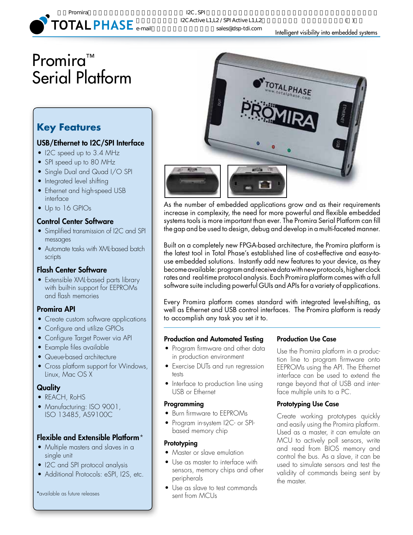

# Promira<sup>™</sup> Serial Platform

# **Key Features**

## USB/Ethernet to I2C/SPI Interface

- I2C speed up to 3.4 MHz
- SPI speed up to 80 MHz
- Single Dual and Quad I/O SPI
- Integrated level shifting
- Ethernet and high-speed USB interface
- Up to 16 GPIOs

### Control Center Software

- Simplified transmission of I2C and SPI messages
- Automate tasks with XML-based batch scripts

### Flash Center Software

• Extensible XML-based parts library with built-in support for EEPROMs and flash memories

### Promira API

- Create custom software applications
- Configure and utilize GPIOs
- Configure Target Power via API
- Example files available
- Queue-based architecture
- Cross platform support for Windows, Linux, Mac OS X

### **Quality**

- REACH, RoHS
- Manufacturing: ISO 9001, ISO 13485, AS9100C

# Flexible and Extensible Platform\*

- Multiple masters and slaves in a single unit
- I2C and SPI protocol analysis
- Additional Protocols: eSPI, I2S, etc.

\*available as future releases



As the number of embedded applications grow and as their requirements increase in complexity, the need for more powerful and flexible embedded systems tools is more important than ever. The Promira Serial Platform can fill the gap and be used to design, debug and develop in a multi-faceted manner.

Built on a completely new FPGA-based architecture, the Promira platform is the latest tool in Total Phase's established line of cost-effective and easy-touse embedded solutions. Instantly add new features to your device, as they become available: program and receive data with new protocols, higher clock rates and real-time protocol analysis. Each Promira platform comes with a full software suite including powerful GUIs and APIs for a variety of applications.

Every Promira platform comes standard with integrated level-shifting, as well as Ethernet and USB control interfaces. The Promira platform is ready to accomplish any task you set it to.

### Production and Automated Testing

- • Program firmware and other data in production environment
- Exercise DUTs and run regression tests
- Interface to production line using USB or Ethernet

### Programming

- Burn firmware to EEPROMs
- Program in-system I2C- or SPIbased memory chip

### **Prototyping**

- Master or slave emulation
- Use as master to interface with sensors, memory chips and other peripherals
- Use as slave to test commands sent from MCUs

### Production Use Case

Use the Promira platform in a production line to program firmware onto EEPROMs using the API. The Ethernet interface can be used to extend the range beyond that of USB and interface multiple units to a PC.

### Prototyping Use Case

Create working prototypes quickly and easily using the Promira platform. Used as a master, it can emulate an MCU to actively poll sensors, write and read from BIOS memory and control the bus. As a slave, it can be used to simulate sensors and test the validity of commands being sent by the master.